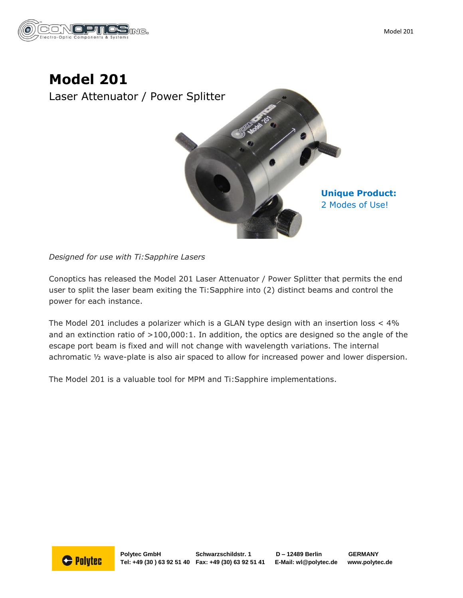



*Designed for use with Ti:Sapphire Lasers*

Conoptics has released the Model 201 Laser Attenuator / Power Splitter that permits the end user to split the laser beam exiting the Ti:Sapphire into (2) distinct beams and control the power for each instance.

The Model 201 includes a polarizer which is a GLAN type design with an insertion loss < 4% and an extinction ratio of  $>100,000:1$ . In addition, the optics are designed so the angle of the escape port beam is fixed and will not change with wavelength variations. The internal achromatic ½ wave-plate is also air spaced to allow for increased power and lower dispersion.

The Model 201 is a valuable tool for MPM and Ti:Sapphire implementations.

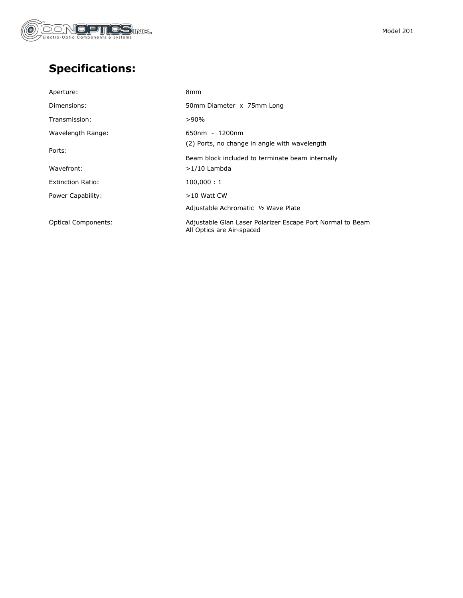

## **Specifications:**

| 8 <sub>mm</sub>                                                                         |
|-----------------------------------------------------------------------------------------|
| 50mm Diameter x 75mm Long                                                               |
| $>90\%$                                                                                 |
| $650nm - 1200nm$                                                                        |
| (2) Ports, no change in angle with wavelength                                           |
| Beam block included to terminate beam internally                                        |
| $>1/10$ Lambda                                                                          |
| 100,000:1                                                                               |
| $>10$ Watt CW                                                                           |
| Adjustable Achromatic 1/2 Wave Plate                                                    |
| Adjustable Glan Laser Polarizer Escape Port Normal to Beam<br>All Optics are Air-spaced |
|                                                                                         |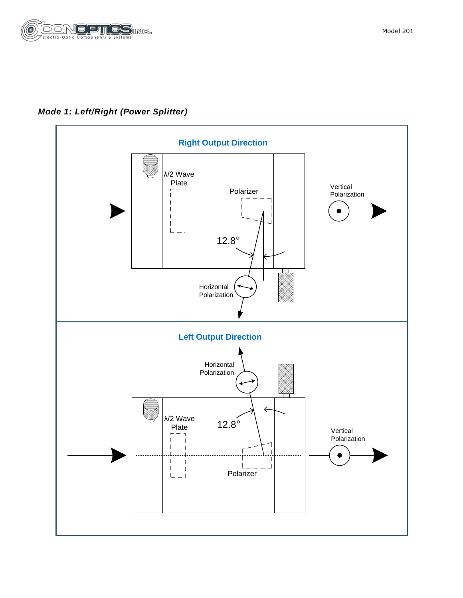